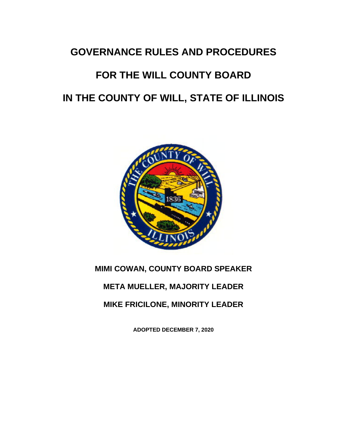## **GOVERNANCE RULES AND PROCEDURES**

# **FOR THE WILL COUNTY BOARD IN THE COUNTY OF WILL, STATE OF ILLINOIS**



## **MIMI COWAN, COUNTY BOARD SPEAKER**

## **META MUELLER, MAJORITY LEADER**

## **MIKE FRICILONE, MINORITY LEADER**

**ADOPTED DECEMBER 7, 2020**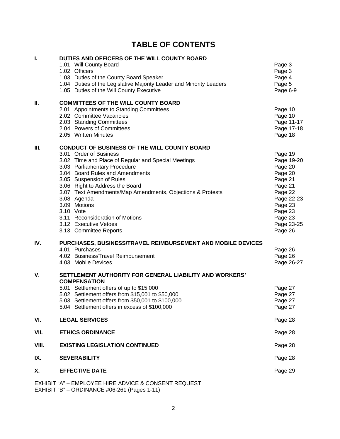## **TABLE OF CONTENTS**

| I.    | DUTIES AND OFFICERS OF THE WILL COUNTY BOARD                                                       |                    |
|-------|----------------------------------------------------------------------------------------------------|--------------------|
|       | 1.01 Will County Board                                                                             | Page 3             |
|       | 1.02 Officers                                                                                      | Page 3             |
|       | 1.03 Duties of the County Board Speaker                                                            | Page 4             |
|       | 1.04 Duties of the Legislative Majority Leader and Minority Leaders                                | Page 5             |
|       | 1.05 Duties of the Will County Executive                                                           | Page 6-9           |
| П.    | <b>COMMITTEES OF THE WILL COUNTY BOARD</b>                                                         |                    |
|       | 2.01 Appointments to Standing Committees                                                           | Page 10            |
|       | 2.02 Committee Vacancies                                                                           | Page 10            |
|       | 2.03 Standing Committees                                                                           | Page 11-17         |
|       | 2.04 Powers of Committees                                                                          | Page 17-18         |
|       | 2.05 Written Minutes                                                                               | Page 18            |
| Ш.    | <b>CONDUCT OF BUSINESS OF THE WILL COUNTY BOARD</b>                                                |                    |
|       | 3.01 Order of Business                                                                             | Page 19            |
|       | 3.02 Time and Place of Regular and Special Meetings                                                | Page 19-20         |
|       | 3.03 Parliamentary Procedure<br>3.04 Board Rules and Amendments                                    | Page 20            |
|       | 3.05 Suspension of Rules                                                                           | Page 20<br>Page 21 |
|       | 3.06 Right to Address the Board                                                                    | Page 21            |
|       | 3.07 Text Amendments/Map Amendments, Objections & Protests                                         | Page 22            |
|       | 3.08 Agenda                                                                                        | Page 22-23         |
|       | 3.09 Motions                                                                                       | Page 23            |
|       | 3.10 Vote                                                                                          | Page 23            |
|       | 3.11 Reconsideration of Motions                                                                    | Page 23            |
|       | 3.12 Executive Vetoes                                                                              | Page 23-25         |
|       | 3.13 Committee Reports                                                                             | Page 26            |
| IV.   | PURCHASES, BUSINESS/TRAVEL REIMBURSEMENT AND MOBILE DEVICES                                        |                    |
|       | 4.01 Purchases                                                                                     | Page 26            |
|       | 4.02 Business/Travel Reimbursement                                                                 | Page 26            |
|       | 4.03 Mobile Devices                                                                                | Page 26-27         |
| V.    | SETTLEMENT AUTHORITY FOR GENERAL LIABILITY AND WORKERS'                                            |                    |
|       | <b>COMPENSATION</b>                                                                                |                    |
|       | 5.01 Settlement offers of up to \$15,000                                                           | Page 27            |
|       | 5.02 Settlement offers from \$15,001 to \$50,000                                                   | Page 27            |
|       | 5.03 Settlement offers from \$50,001 to \$100,000<br>5.04 Settlement offers in excess of \$100,000 | Page 27            |
|       |                                                                                                    | Page 27            |
| VI.   | <b>LEGAL SERVICES</b>                                                                              | Page 28            |
| VII.  | <b>ETHICS ORDINANCE</b>                                                                            | Page 28            |
| VIII. | <b>EXISTING LEGISLATION CONTINUED</b>                                                              | Page 28            |
| IX.   | <b>SEVERABILITY</b>                                                                                | Page 28            |
| Χ.    | <b>EFFECTIVE DATE</b>                                                                              | Page 29            |
|       | EXHIBIT "A" - EMPLOYEE HIRE ADVICE & CONSENT REQUEST                                               |                    |

EXHIBIT "B" – ORDINANCE #06-261 (Pages 1-11)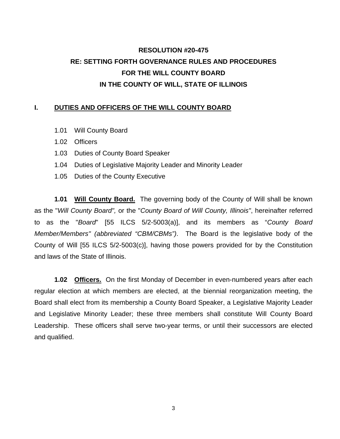## **RESOLUTION #20-475 RE: SETTING FORTH GOVERNANCE RULES AND PROCEDURES FOR THE WILL COUNTY BOARD IN THE COUNTY OF WILL, STATE OF ILLINOIS**

### **I. DUTIES AND OFFICERS OF THE WILL COUNTY BOARD**

- 1.01 Will County Board
- 1.02 Officers
- 1.03 Duties of County Board Speaker
- 1.04 Duties of Legislative Majority Leader and Minority Leader
- 1.05 Duties of the County Executive

**1.01 Will County Board.** The governing body of the County of Will shall be known as the "*Will County Board",* or the "*County Board of Will County, Illinois"*, hereinafter referred to as the "*Board*" [55 ILCS 5/2-5003(a)], and its members as "*County Board Member/Members" (abbreviated "CBM/CBMs")*. The Board is the legislative body of the County of Will [55 ILCS 5/2-5003(c)], having those powers provided for by the Constitution and laws of the State of Illinois.

**1.02 Officers.** On the first Monday of December in even-numbered years after each regular election at which members are elected, at the biennial reorganization meeting, the Board shall elect from its membership a County Board Speaker, a Legislative Majority Leader and Legislative Minority Leader; these three members shall constitute Will County Board Leadership. These officers shall serve two-year terms, or until their successors are elected and qualified.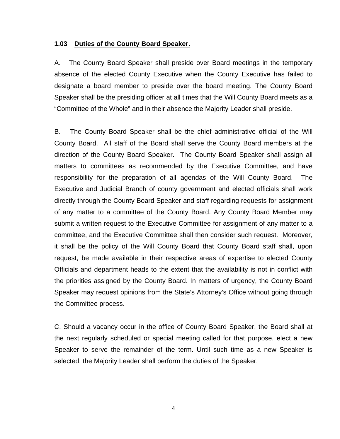### **1.03 Duties of the County Board Speaker.**

A. The County Board Speaker shall preside over Board meetings in the temporary absence of the elected County Executive when the County Executive has failed to designate a board member to preside over the board meeting. The County Board Speaker shall be the presiding officer at all times that the Will County Board meets as a "Committee of the Whole" and in their absence the Majority Leader shall preside.

B. The County Board Speaker shall be the chief administrative official of the Will County Board. All staff of the Board shall serve the County Board members at the direction of the County Board Speaker. The County Board Speaker shall assign all matters to committees as recommended by the Executive Committee, and have responsibility for the preparation of all agendas of the Will County Board. The Executive and Judicial Branch of county government and elected officials shall work directly through the County Board Speaker and staff regarding requests for assignment of any matter to a committee of the County Board. Any County Board Member may submit a written request to the Executive Committee for assignment of any matter to a committee, and the Executive Committee shall then consider such request. Moreover, it shall be the policy of the Will County Board that County Board staff shall, upon request, be made available in their respective areas of expertise to elected County Officials and department heads to the extent that the availability is not in conflict with the priorities assigned by the County Board. In matters of urgency, the County Board Speaker may request opinions from the State's Attorney's Office without going through the Committee process.

C. Should a vacancy occur in the office of County Board Speaker, the Board shall at the next regularly scheduled or special meeting called for that purpose, elect a new Speaker to serve the remainder of the term. Until such time as a new Speaker is selected, the Majority Leader shall perform the duties of the Speaker.

4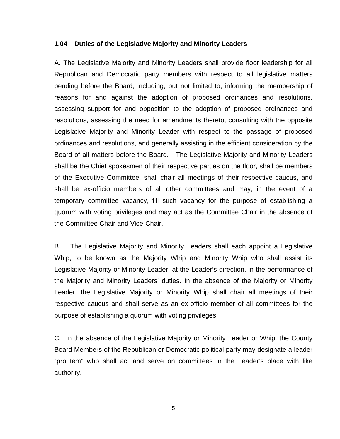#### **1.04 Duties of the Legislative Majority and Minority Leaders**

A. The Legislative Majority and Minority Leaders shall provide floor leadership for all Republican and Democratic party members with respect to all legislative matters pending before the Board, including, but not limited to, informing the membership of reasons for and against the adoption of proposed ordinances and resolutions, assessing support for and opposition to the adoption of proposed ordinances and resolutions, assessing the need for amendments thereto, consulting with the opposite Legislative Majority and Minority Leader with respect to the passage of proposed ordinances and resolutions, and generally assisting in the efficient consideration by the Board of all matters before the Board. The Legislative Majority and Minority Leaders shall be the Chief spokesmen of their respective parties on the floor, shall be members of the Executive Committee, shall chair all meetings of their respective caucus, and shall be ex-officio members of all other committees and may, in the event of a temporary committee vacancy, fill such vacancy for the purpose of establishing a quorum with voting privileges and may act as the Committee Chair in the absence of the Committee Chair and Vice-Chair.

B. The Legislative Majority and Minority Leaders shall each appoint a Legislative Whip, to be known as the Majority Whip and Minority Whip who shall assist its Legislative Majority or Minority Leader, at the Leader's direction, in the performance of the Majority and Minority Leaders' duties. In the absence of the Majority or Minority Leader, the Legislative Majority or Minority Whip shall chair all meetings of their respective caucus and shall serve as an ex-officio member of all committees for the purpose of establishing a quorum with voting privileges.

C. In the absence of the Legislative Majority or Minority Leader or Whip, the County Board Members of the Republican or Democratic political party may designate a leader "pro tem" who shall act and serve on committees in the Leader's place with like authority.

5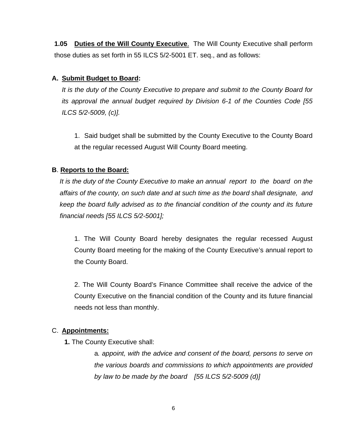**1.05 Duties of the Will County Executive**. The Will County Executive shall perform those duties as set forth in 55 ILCS 5/2-5001 ET. seq., and as follows:

## **A. Submit Budget to Board:**

*It is the duty of the County Executive to prepare and submit to the County Board for its approval the annual budget required by Division 6-1 of the Counties Code [55 ILCS 5/2-5009, (c)].* 

1. Said budget shall be submitted by the County Executive to the County Board at the regular recessed August Will County Board meeting.

## **B**. **Reports to the Board:**

*It is the duty of the County Executive to make an annual report to the board on the affairs of the county, on such date and at such time as the board shall designate, and keep the board fully advised as to the financial condition of the county and its future financial needs [55 ILCS 5/2-5001];* 

1. The Will County Board hereby designates the regular recessed August County Board meeting for the making of the County Executive's annual report to the County Board.

2. The Will County Board's Finance Committee shall receive the advice of the County Executive on the financial condition of the County and its future financial needs not less than monthly.

## C. **Appointments:**

**1.** The County Executive shall:

a*. appoint, with the advice and consent of the board, persons to serve on the various boards and commissions to which appointments are provided by law to be made by the board [55 ILCS 5/2-5009 (d)]*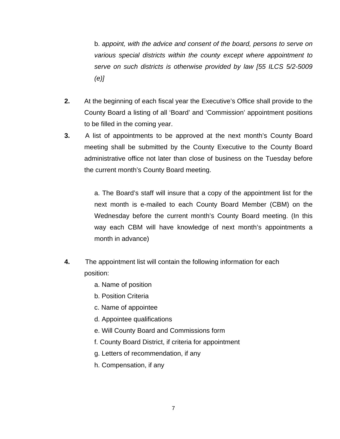b. *appoint, with the advice and consent of the board, persons to serve on various special districts within the county except where appointment to serve on such districts is otherwise provided by law [55 ILCS 5/2-5009 (e)]*

- **2.** At the beginning of each fiscal year the Executive's Office shall provide to the County Board a listing of all 'Board' and 'Commission' appointment positions to be filled in the coming year.
- **3.** A list of appointments to be approved at the next month's County Board meeting shall be submitted by the County Executive to the County Board administrative office not later than close of business on the Tuesday before the current month's County Board meeting.

a. The Board's staff will insure that a copy of the appointment list for the next month is e-mailed to each County Board Member (CBM) on the Wednesday before the current month's County Board meeting. (In this way each CBM will have knowledge of next month's appointments a month in advance)

- **4.** The appointment list will contain the following information for each position:
	- a. Name of position
	- b. Position Criteria
	- c. Name of appointee
	- d. Appointee qualifications
	- e. Will County Board and Commissions form
	- f. County Board District, if criteria for appointment
	- g. Letters of recommendation, if any
	- h. Compensation, if any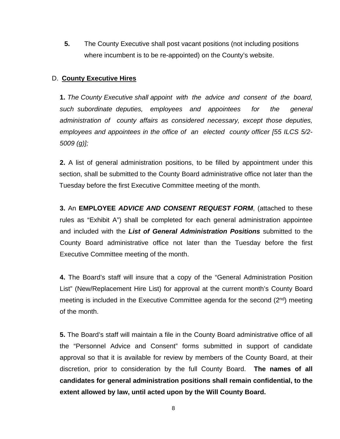**5.** The County Executive shall post vacant positions (not including positions where incumbent is to be re-appointed) on the County's website.

## D. **County Executive Hires**

**1.** *The County Executive shall appoint with the advice and consent of the board, such subordinate deputies, employees and appointees for the general administration of county affairs as considered necessary, except those deputies, employees and appointees in the office of an elected county officer [55 ILCS 5/2- 5009 (g)];*

**2.** A list of general administration positions, to be filled by appointment under this section, shall be submitted to the County Board administrative office not later than the Tuesday before the first Executive Committee meeting of the month.

**3.** An **EMPLOYEE** *ADVICE AND CONSENT REQUEST FORM*, (attached to these rules as "Exhibit A") shall be completed for each general administration appointee and included with the *List of General Administration Positions* submitted to the County Board administrative office not later than the Tuesday before the first Executive Committee meeting of the month.

**4.** The Board's staff will insure that a copy of the "General Administration Position List" (New/Replacement Hire List) for approval at the current month's County Board meeting is included in the Executive Committee agenda for the second (2<sup>nd</sup>) meeting of the month.

**5.** The Board's staff will maintain a file in the County Board administrative office of all the "Personnel Advice and Consent" forms submitted in support of candidate approval so that it is available for review by members of the County Board, at their discretion, prior to consideration by the full County Board. **The names of all candidates for general administration positions shall remain confidential, to the extent allowed by law, until acted upon by the Will County Board.**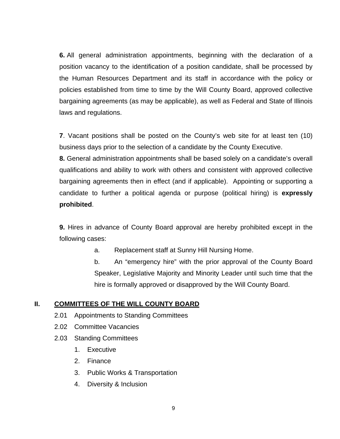**6.** All general administration appointments, beginning with the declaration of a position vacancy to the identification of a position candidate, shall be processed by the Human Resources Department and its staff in accordance with the policy or policies established from time to time by the Will County Board, approved collective bargaining agreements (as may be applicable), as well as Federal and State of Illinois laws and regulations.

**7**. Vacant positions shall be posted on the County's web site for at least ten (10) business days prior to the selection of a candidate by the County Executive.

**8.** General administration appointments shall be based solely on a candidate's overall qualifications and ability to work with others and consistent with approved collective bargaining agreements then in effect (and if applicable). Appointing or supporting a candidate to further a political agenda or purpose (political hiring) is **expressly prohibited**.

**9.** Hires in advance of County Board approval are hereby prohibited except in the following cases:

a. Replacement staff at Sunny Hill Nursing Home.

b. An "emergency hire" with the prior approval of the County Board Speaker, Legislative Majority and Minority Leader until such time that the hire is formally approved or disapproved by the Will County Board.

## **II. COMMITTEES OF THE WILL COUNTY BOARD**

- 2.01 Appointments to Standing Committees
- 2.02 Committee Vacancies
- 2.03 Standing Committees
	- 1. Executive
	- 2. Finance
	- 3. Public Works & Transportation
	- 4. Diversity & Inclusion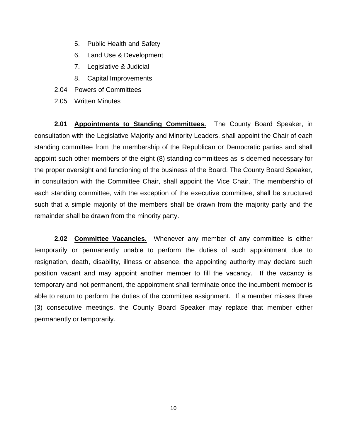- 5. Public Health and Safety
- 6. Land Use & Development
- 7. Legislative & Judicial
- 8. Capital Improvements
- 2.04 Powers of Committees
- 2.05 Written Minutes

**2.01 Appointments to Standing Committees.** The County Board Speaker, in consultation with the Legislative Majority and Minority Leaders, shall appoint the Chair of each standing committee from the membership of the Republican or Democratic parties and shall appoint such other members of the eight (8) standing committees as is deemed necessary for the proper oversight and functioning of the business of the Board. The County Board Speaker, in consultation with the Committee Chair, shall appoint the Vice Chair. The membership of each standing committee, with the exception of the executive committee, shall be structured such that a simple majority of the members shall be drawn from the majority party and the remainder shall be drawn from the minority party.

**2.02 Committee Vacancies.** Whenever any member of any committee is either temporarily or permanently unable to perform the duties of such appointment due to resignation, death, disability, illness or absence, the appointing authority may declare such position vacant and may appoint another member to fill the vacancy. If the vacancy is temporary and not permanent, the appointment shall terminate once the incumbent member is able to return to perform the duties of the committee assignment. If a member misses three (3) consecutive meetings, the County Board Speaker may replace that member either permanently or temporarily.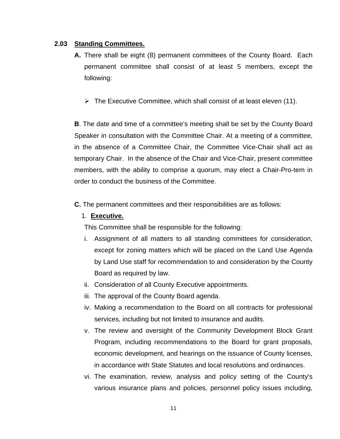### **2.03 Standing Committees.**

- **A.** There shall be eight (8) permanent committees of the County Board. Each permanent committee shall consist of at least 5 members, except the following:
	- $\triangleright$  The Executive Committee, which shall consist of at least eleven (11).

**B**. The date and time of a committee's meeting shall be set by the County Board Speaker in consultation with the Committee Chair. At a meeting of a committee, in the absence of a Committee Chair, the Committee Vice-Chair shall act as temporary Chair. In the absence of the Chair and Vice-Chair, present committee members, with the ability to comprise a quorum, may elect a Chair-Pro-tem in order to conduct the business of the Committee.

**C.** The permanent committees and their responsibilities are as follows:

## 1. **Executive.**

This Committee shall be responsible for the following:

- i. Assignment of all matters to all standing committees for consideration, except for zoning matters which will be placed on the Land Use Agenda by Land Use staff for recommendation to and consideration by the County Board as required by law.
- ii. Consideration of all County Executive appointments.
- iii. The approval of the County Board agenda.
- iv. Making a recommendation to the Board on all contracts for professional services, including but not limited to insurance and audits.
- v. The review and oversight of the Community Development Block Grant Program, including recommendations to the Board for grant proposals, economic development, and hearings on the issuance of County licenses, in accordance with State Statutes and local resolutions and ordinances.
- vi. The examination, review, analysis and policy setting of the County's various insurance plans and policies, personnel policy issues including,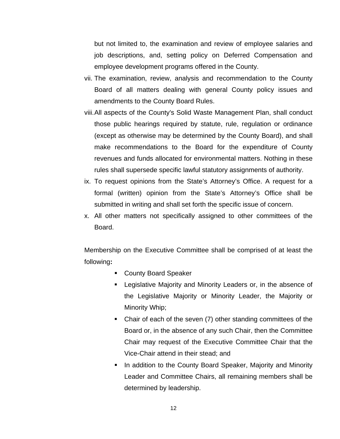but not limited to, the examination and review of employee salaries and job descriptions, and, setting policy on Deferred Compensation and employee development programs offered in the County.

- vii. The examination, review, analysis and recommendation to the County Board of all matters dealing with general County policy issues and amendments to the County Board Rules.
- viii.All aspects of the County's Solid Waste Management Plan, shall conduct those public hearings required by statute, rule, regulation or ordinance (except as otherwise may be determined by the County Board), and shall make recommendations to the Board for the expenditure of County revenues and funds allocated for environmental matters. Nothing in these rules shall supersede specific lawful statutory assignments of authority.
- ix. To request opinions from the State's Attorney's Office. A request for a formal (written) opinion from the State's Attorney's Office shall be submitted in writing and shall set forth the specific issue of concern.
- x. All other matters not specifically assigned to other committees of the Board.

Membership on the Executive Committee shall be comprised of at least the following**:**

- **County Board Speaker**
- **EXEDERIM** Legislative Majority and Minority Leaders or, in the absence of the Legislative Majority or Minority Leader, the Majority or Minority Whip;
- Chair of each of the seven (7) other standing committees of the Board or, in the absence of any such Chair, then the Committee Chair may request of the Executive Committee Chair that the Vice-Chair attend in their stead; and
- **IF** In addition to the County Board Speaker, Majority and Minority Leader and Committee Chairs, all remaining members shall be determined by leadership.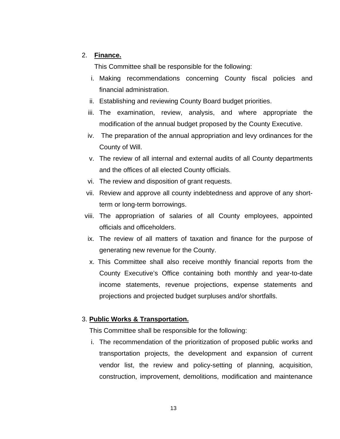## 2. **Finance.**

This Committee shall be responsible for the following:

- i. Making recommendations concerning County fiscal policies and financial administration.
- ii. Establishing and reviewing County Board budget priorities.
- iii. The examination, review, analysis, and where appropriate the modification of the annual budget proposed by the County Executive.
- iv. The preparation of the annual appropriation and levy ordinances for the County of Will.
- v. The review of all internal and external audits of all County departments and the offices of all elected County officials.
- vi. The review and disposition of grant requests.
- vii. Review and approve all county indebtedness and approve of any shortterm or long-term borrowings.
- viii. The appropriation of salaries of all County employees, appointed officials and officeholders.
- ix. The review of all matters of taxation and finance for the purpose of generating new revenue for the County.
- x. This Committee shall also receive monthly financial reports from the County Executive's Office containing both monthly and year-to-date income statements, revenue projections, expense statements and projections and projected budget surpluses and/or shortfalls.

## 3. **Public Works & Transportation.**

This Committee shall be responsible for the following:

i. The recommendation of the prioritization of proposed public works and transportation projects, the development and expansion of current vendor list, the review and policy-setting of planning, acquisition, construction, improvement, demolitions, modification and maintenance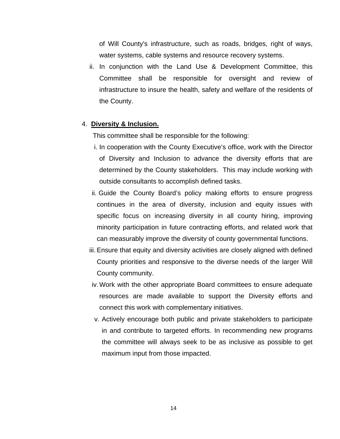of Will County's infrastructure, such as roads, bridges, right of ways, water systems, cable systems and resource recovery systems.

ii. In conjunction with the Land Use & Development Committee, this Committee shall be responsible for oversight and review of infrastructure to insure the health, safety and welfare of the residents of the County.

#### 4. **Diversity & Inclusion.**

This committee shall be responsible for the following:

- i. In cooperation with the County Executive's office, work with the Director of Diversity and Inclusion to advance the diversity efforts that are determined by the County stakeholders. This may include working with outside consultants to accomplish defined tasks.
- ii. Guide the County Board's policy making efforts to ensure progress continues in the area of diversity, inclusion and equity issues with specific focus on increasing diversity in all county hiring, improving minority participation in future contracting efforts, and related work that can measurably improve the diversity of county governmental functions.
- iii. Ensure that equity and diversity activities are closely aligned with defined County priorities and responsive to the diverse needs of the larger Will County community.
- iv.Work with the other appropriate Board committees to ensure adequate resources are made available to support the Diversity efforts and connect this work with complementary initiatives.
- v. Actively encourage both public and private stakeholders to participate in and contribute to targeted efforts. In recommending new programs the committee will always seek to be as inclusive as possible to get maximum input from those impacted.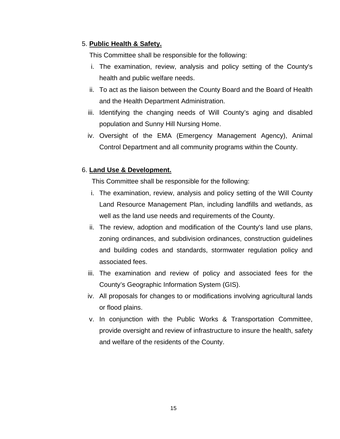## 5. **Public Health & Safety.**

This Committee shall be responsible for the following:

- i. The examination, review, analysis and policy setting of the County's health and public welfare needs.
- ii. To act as the liaison between the County Board and the Board of Health and the Health Department Administration.
- iii. Identifying the changing needs of Will County's aging and disabled population and Sunny Hill Nursing Home.
- iv. Oversight of the EMA (Emergency Management Agency), Animal Control Department and all community programs within the County.

## 6. **Land Use & Development.**

This Committee shall be responsible for the following:

- i. The examination, review, analysis and policy setting of the Will County Land Resource Management Plan, including landfills and wetlands, as well as the land use needs and requirements of the County.
- ii. The review, adoption and modification of the County's land use plans, zoning ordinances, and subdivision ordinances, construction guidelines and building codes and standards, stormwater regulation policy and associated fees.
- iii. The examination and review of policy and associated fees for the County's Geographic Information System (GIS).
- iv. All proposals for changes to or modifications involving agricultural lands or flood plains.
- v. In conjunction with the Public Works & Transportation Committee, provide oversight and review of infrastructure to insure the health, safety and welfare of the residents of the County.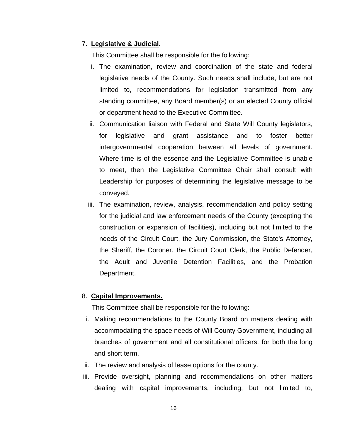### 7. **Legislative & Judicial.**

This Committee shall be responsible for the following:

- i. The examination, review and coordination of the state and federal legislative needs of the County. Such needs shall include, but are not limited to, recommendations for legislation transmitted from any standing committee, any Board member(s) or an elected County official or department head to the Executive Committee.
- ii. Communication liaison with Federal and State Will County legislators, for legislative and grant assistance and to foster better intergovernmental cooperation between all levels of government. Where time is of the essence and the Legislative Committee is unable to meet, then the Legislative Committee Chair shall consult with Leadership for purposes of determining the legislative message to be conveyed.
- iii. The examination, review, analysis, recommendation and policy setting for the judicial and law enforcement needs of the County (excepting the construction or expansion of facilities), including but not limited to the needs of the Circuit Court, the Jury Commission, the State's Attorney, the Sheriff, the Coroner, the Circuit Court Clerk, the Public Defender, the Adult and Juvenile Detention Facilities, and the Probation Department.

#### 8. **Capital Improvements.**

This Committee shall be responsible for the following:

- i. Making recommendations to the County Board on matters dealing with accommodating the space needs of Will County Government, including all branches of government and all constitutional officers, for both the long and short term.
- ii. The review and analysis of lease options for the county.
- iii. Provide oversight, planning and recommendations on other matters dealing with capital improvements, including, but not limited to,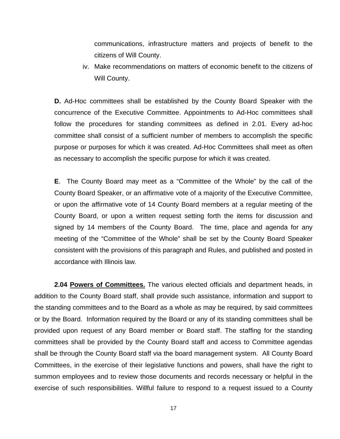communications, infrastructure matters and projects of benefit to the citizens of Will County.

iv. Make recommendations on matters of economic benefit to the citizens of Will County.

**D.** Ad-Hoc committees shall be established by the County Board Speaker with the concurrence of the Executive Committee. Appointments to Ad-Hoc committees shall follow the procedures for standing committees as defined in 2.01. Every ad-hoc committee shall consist of a sufficient number of members to accomplish the specific purpose or purposes for which it was created. Ad-Hoc Committees shall meet as often as necessary to accomplish the specific purpose for which it was created.

**E**. The County Board may meet as a "Committee of the Whole" by the call of the County Board Speaker, or an affirmative vote of a majority of the Executive Committee, or upon the affirmative vote of 14 County Board members at a regular meeting of the County Board, or upon a written request setting forth the items for discussion and signed by 14 members of the County Board. The time, place and agenda for any meeting of the "Committee of the Whole" shall be set by the County Board Speaker consistent with the provisions of this paragraph and Rules, and published and posted in accordance with Illinois law.

**2.04 Powers of Committees.** The various elected officials and department heads, in addition to the County Board staff, shall provide such assistance, information and support to the standing committees and to the Board as a whole as may be required, by said committees or by the Board. Information required by the Board or any of its standing committees shall be provided upon request of any Board member or Board staff. The staffing for the standing committees shall be provided by the County Board staff and access to Committee agendas shall be through the County Board staff via the board management system. All County Board Committees, in the exercise of their legislative functions and powers, shall have the right to summon employees and to review those documents and records necessary or helpful in the exercise of such responsibilities. Willful failure to respond to a request issued to a County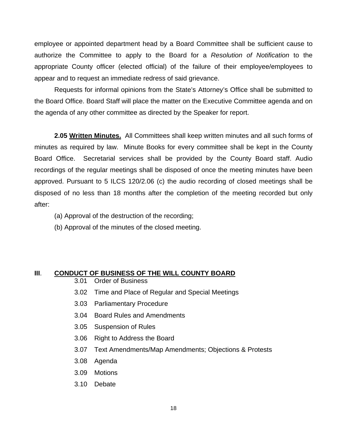employee or appointed department head by a Board Committee shall be sufficient cause to authorize the Committee to apply to the Board for a *Resolution of Notification* to the appropriate County officer (elected official) of the failure of their employee/employees to appear and to request an immediate redress of said grievance.

Requests for informal opinions from the State's Attorney's Office shall be submitted to the Board Office. Board Staff will place the matter on the Executive Committee agenda and on the agenda of any other committee as directed by the Speaker for report.

**2.05 Written Minutes.** All Committees shall keep written minutes and all such forms of minutes as required by law. Minute Books for every committee shall be kept in the County Board Office. Secretarial services shall be provided by the County Board staff. Audio recordings of the regular meetings shall be disposed of once the meeting minutes have been approved. Pursuant to 5 ILCS 120/2.06 (c) the audio recording of closed meetings shall be disposed of no less than 18 months after the completion of the meeting recorded but only after:

- (a) Approval of the destruction of the recording;
- (b) Approval of the minutes of the closed meeting.

#### **III**. **CONDUCT OF BUSINESS OF THE WILL COUNTY BOARD**

- 3.01 Order of Business
- 3.02 Time and Place of Regular and Special Meetings
- 3.03 Parliamentary Procedure
- 3.04 Board Rules and Amendments
- 3.05 Suspension of Rules
- 3.06 Right to Address the Board
- 3.07 Text Amendments/Map Amendments; Objections & Protests
- 3.08 Agenda
- 3.09 Motions
- 3.10 Debate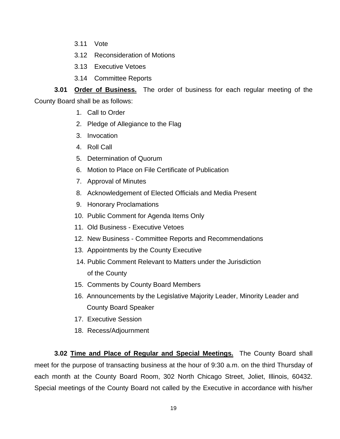- 3.11 Vote
- 3.12 Reconsideration of Motions
- 3.13 Executive Vetoes
- 3.14 Committee Reports

**3.01 Order of Business.** The order of business for each regular meeting of the

County Board shall be as follows:

- 1. Call to Order
- 2. Pledge of Allegiance to the Flag
- 3. Invocation
- 4. Roll Call
- 5. Determination of Quorum
- 6. Motion to Place on File Certificate of Publication
- 7. Approval of Minutes
- 8. Acknowledgement of Elected Officials and Media Present
- 9. Honorary Proclamations
- 10. Public Comment for Agenda Items Only
- 11. Old Business Executive Vetoes
- 12. New Business Committee Reports and Recommendations
- 13. Appointments by the County Executive
- 14. Public Comment Relevant to Matters under the Jurisdiction of the County
- 15. Comments by County Board Members
- 16. Announcements by the Legislative Majority Leader, Minority Leader and County Board Speaker
- 17. Executive Session
- 18. Recess/Adjournment

**3.02 Time and Place of Regular and Special Meetings.** The County Board shall meet for the purpose of transacting business at the hour of 9:30 a.m. on the third Thursday of each month at the County Board Room, 302 North Chicago Street, Joliet, Illinois, 60432. Special meetings of the County Board not called by the Executive in accordance with his/her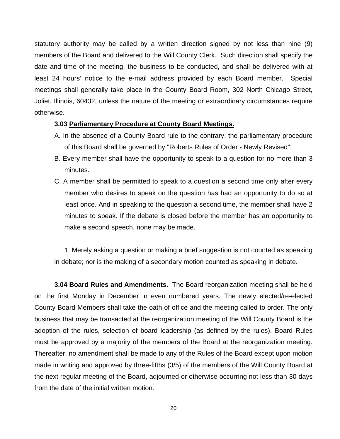statutory authority may be called by a written direction signed by not less than nine (9) members of the Board and delivered to the Will County Clerk. Such direction shall specify the date and time of the meeting, the business to be conducted, and shall be delivered with at least 24 hours' notice to the e-mail address provided by each Board member. Special meetings shall generally take place in the County Board Room, 302 North Chicago Street, Joliet, Illinois, 60432, unless the nature of the meeting or extraordinary circumstances require otherwise.

### **3.03 Parliamentary Procedure at County Board Meetings.**

- A. In the absence of a County Board rule to the contrary, the parliamentary procedure of this Board shall be governed by "Roberts Rules of Order - Newly Revised".
- B. Every member shall have the opportunity to speak to a question for no more than 3 minutes.
- C. A member shall be permitted to speak to a question a second time only after every member who desires to speak on the question has had an opportunity to do so at least once. And in speaking to the question a second time, the member shall have 2 minutes to speak. If the debate is closed before the member has an opportunity to make a second speech, none may be made.

1. Merely asking a question or making a brief suggestion is not counted as speaking in debate; nor is the making of a secondary motion counted as speaking in debate.

**3.04 Board Rules and Amendments.** The Board reorganization meeting shall be held on the first Monday in December in even numbered years. The newly elected/re-elected County Board Members shall take the oath of office and the meeting called to order. The only business that may be transacted at the reorganization meeting of the Will County Board is the adoption of the rules, selection of board leadership (as defined by the rules). Board Rules must be approved by a majority of the members of the Board at the reorganization meeting. Thereafter, no amendment shall be made to any of the Rules of the Board except upon motion made in writing and approved by three-fifths (3/5) of the members of the Will County Board at the next regular meeting of the Board, adjourned or otherwise occurring not less than 30 days from the date of the initial written motion.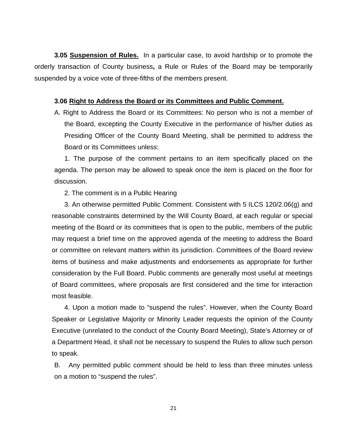**3.05 Suspension of Rules.** In a particular case, to avoid hardship or to promote the orderly transaction of County business**,** a Rule or Rules of the Board may be temporarily suspended by a voice vote of three-fifths of the members present.

#### **3.06 Right to Address the Board or its Committees and Public Comment.**

A. Right to Address the Board or its Committees: No person who is not a member of the Board, excepting the County Executive in the performance of his/her duties as Presiding Officer of the County Board Meeting, shall be permitted to address the Board or its Committees unless:

1. The purpose of the comment pertains to an item specifically placed on the agenda. The person may be allowed to speak once the item is placed on the floor for discussion.

2. The comment is in a Public Hearing

3. An otherwise permitted Public Comment. Consistent with 5 ILCS 120/2.06(g) and reasonable constraints determined by the Will County Board, at each regular or special meeting of the Board or its committees that is open to the public, members of the public may request a brief time on the approved agenda of the meeting to address the Board or committee on relevant matters within its jurisdiction. Committees of the Board review items of business and make adjustments and endorsements as appropriate for further consideration by the Full Board. Public comments are generally most useful at meetings of Board committees, where proposals are first considered and the time for interaction most feasible.

4. Upon a motion made to "suspend the rules". However, when the County Board Speaker or Legislative Majority or Minority Leader requests the opinion of the County Executive (unrelated to the conduct of the County Board Meeting), State's Attorney or of a Department Head, it shall not be necessary to suspend the Rules to allow such person to speak.

B. Any permitted public comment should be held to less than three minutes unless on a motion to "suspend the rules".

21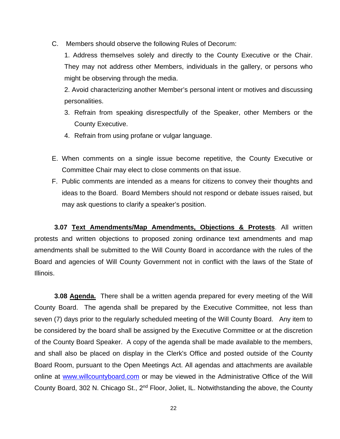C. Members should observe the following Rules of Decorum:

1. Address themselves solely and directly to the County Executive or the Chair. They may not address other Members, individuals in the gallery, or persons who might be observing through the media.

2. Avoid characterizing another Member's personal intent or motives and discussing personalities.

- 3. Refrain from speaking disrespectfully of the Speaker, other Members or the County Executive.
- 4. Refrain from using profane or vulgar language.
- E. When comments on a single issue become repetitive, the County Executive or Committee Chair may elect to close comments on that issue.
- F. Public comments are intended as a means for citizens to convey their thoughts and ideas to the Board. Board Members should not respond or debate issues raised, but may ask questions to clarify a speaker's position.

**3.07 Text Amendments/Map Amendments, Objections & Protests**. All written protests and written objections to proposed zoning ordinance text amendments and map amendments shall be submitted to the Will County Board in accordance with the rules of the Board and agencies of Will County Government not in conflict with the laws of the State of Illinois.

**3.08 Agenda.** There shall be a written agenda prepared for every meeting of the Will County Board. The agenda shall be prepared by the Executive Committee, not less than seven (7) days prior to the regularly scheduled meeting of the Will County Board. Any item to be considered by the board shall be assigned by the Executive Committee or at the discretion of the County Board Speaker. A copy of the agenda shall be made available to the members, and shall also be placed on display in the Clerk's Office and posted outside of the County Board Room, pursuant to the Open Meetings Act. All agendas and attachments are available online at [www.willcountyboard.com](http://www.willcountyboard.com/) or may be viewed in the Administrative Office of the Will County Board, 302 N. Chicago St., 2nd Floor, Joliet, IL. Notwithstanding the above, the County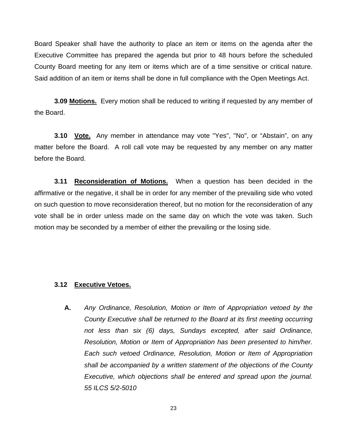Board Speaker shall have the authority to place an item or items on the agenda after the Executive Committee has prepared the agenda but prior to 48 hours before the scheduled County Board meeting for any item or items which are of a time sensitive or critical nature. Said addition of an item or items shall be done in full compliance with the Open Meetings Act.

**3.09 Motions.** Every motion shall be reduced to writing if requested by any member of the Board.

**3.10 Vote.** Any member in attendance may vote "Yes", "No", or "Abstain", on any matter before the Board. A roll call vote may be requested by any member on any matter before the Board.

**3.11 Reconsideration of Motions.** When a question has been decided in the affirmative or the negative, it shall be in order for any member of the prevailing side who voted on such question to move reconsideration thereof, but no motion for the reconsideration of any vote shall be in order unless made on the same day on which the vote was taken. Such motion may be seconded by a member of either the prevailing or the losing side.

### **3.12 Executive Vetoes.**

**A.** *Any Ordinance, Resolution, Motion or Item of Appropriation vetoed by the County Executive shall be returned to the Board at its first meeting occurring not less than six (6) days, Sundays excepted, after said Ordinance, Resolution, Motion or Item of Appropriation has been presented to him/her. Each such vetoed Ordinance, Resolution, Motion or Item of Appropriation shall be accompanied by a written statement of the objections of the County Executive, which objections shall be entered and spread upon the journal. 55 ILCS 5/2-5010*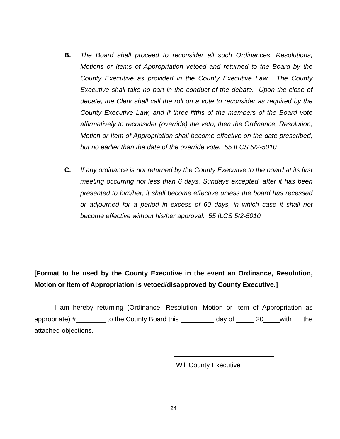- **B.** *The Board shall proceed to reconsider all such Ordinances, Resolutions, Motions or Items of Appropriation vetoed and returned to the Board by the County Executive as provided in the County Executive Law. The County Executive shall take no part in the conduct of the debate. Upon the close of debate, the Clerk shall call the roll on a vote to reconsider as required by the County Executive Law, and if three-fifths of the members of the Board vote affirmatively to reconsider (override) the veto, then the Ordinance, Resolution, Motion or Item of Appropriation shall become effective on the date prescribed, but no earlier than the date of the override vote. 55 ILCS 5/2-5010*
- **C.** *If any ordinance is not returned by the County Executive to the board at its first meeting occurring not less than 6 days, Sundays excepted, after it has been presented to him/her, it shall become effective unless the board has recessed or adjourned for a period in excess of 60 days, in which case it shall not become effective without his/her approval. 55 ILCS 5/2-5010*

## **[Format to be used by the County Executive in the event an Ordinance, Resolution, Motion or Item of Appropriation is vetoed/disapproved by County Executive.]**

I am hereby returning (Ordinance, Resolution, Motion or Item of Appropriation as appropriate) #\_\_\_\_\_\_\_ to the County Board this \_\_\_\_\_\_\_\_ day of \_\_\_\_\_ 20\_\_\_\_ with the attached objections.

Will County Executive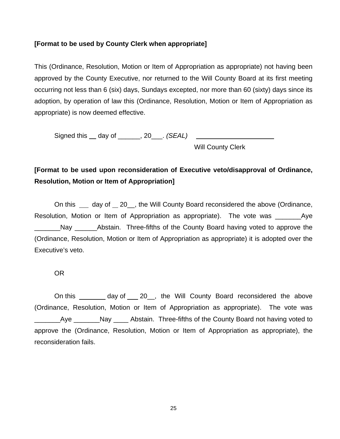## **[Format to be used by County Clerk when appropriate]**

This (Ordinance, Resolution, Motion or Item of Appropriation as appropriate) not having been approved by the County Executive, nor returned to the Will County Board at its first meeting occurring not less than 6 (six) days, Sundays excepted, nor more than 60 (sixty) days since its adoption, by operation of law this (Ordinance, Resolution, Motion or Item of Appropriation as appropriate) is now deemed effective.

Signed this \_\_ day of \_\_\_\_\_\_, 20\_\_\_. *(SEAL)* \_\_\_\_\_\_\_\_\_

Will County Clerk

## **[Format to be used upon reconsideration of Executive veto/disapproval of Ordinance, Resolution, Motion or Item of Appropriation]**

On this day of 20, the Will County Board reconsidered the above (Ordinance, Resolution, Motion or Item of Appropriation as appropriate). The vote was example and Aye Nay Abstain. Three-fifths of the County Board having voted to approve the (Ordinance, Resolution, Motion or Item of Appropriation as appropriate) it is adopted over the Executive's veto.

OR

On this \_\_\_\_\_\_\_ day of \_\_\_ 20\_, the Will County Board reconsidered the above (Ordinance, Resolution, Motion or Item of Appropriation as appropriate). The vote was \_\_\_\_\_\_\_Aye \_\_\_\_\_\_\_Nay \_\_\_\_ Abstain. Three-fifths of the County Board not having voted to approve the (Ordinance, Resolution, Motion or Item of Appropriation as appropriate), the reconsideration fails.

25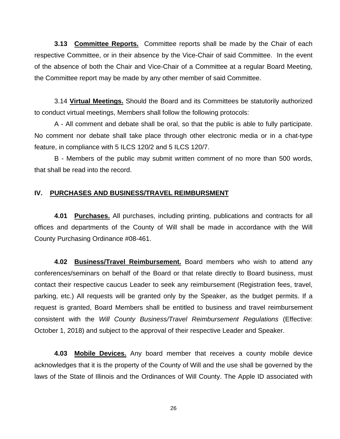**3.13 Committee Reports.** Committee reports shall be made by the Chair of each respective Committee, or in their absence by the Vice-Chair of said Committee. In the event of the absence of both the Chair and Vice-Chair of a Committee at a regular Board Meeting, the Committee report may be made by any other member of said Committee.

3.14 **Virtual Meetings.** Should the Board and its Committees be statutorily authorized to conduct virtual meetings, Members shall follow the following protocols:

A - All comment and debate shall be oral, so that the public is able to fully participate. No comment nor debate shall take place through other electronic media or in a chat-type feature, in compliance with 5 ILCS 120/2 and 5 ILCS 120/7.

B - Members of the public may submit written comment of no more than 500 words, that shall be read into the record.

### **IV. PURCHASES AND BUSINESS/TRAVEL REIMBURSMENT**

**4.01 Purchases.** All purchases, including printing, publications and contracts for all offices and departments of the County of Will shall be made in accordance with the Will County Purchasing Ordinance #08-461.

**4.02 Business/Travel Reimbursement.** Board members who wish to attend any conferences/seminars on behalf of the Board or that relate directly to Board business, must contact their respective caucus Leader to seek any reimbursement (Registration fees, travel, parking, etc.) All requests will be granted only by the Speaker, as the budget permits. If a request is granted, Board Members shall be entitled to business and travel reimbursement consistent with the *Will County Business/Travel Reimbursement Regulations* (Effective: October 1, 2018) and subject to the approval of their respective Leader and Speaker.

**4.03 Mobile Devices.** Any board member that receives a county mobile device acknowledges that it is the property of the County of Will and the use shall be governed by the laws of the State of Illinois and the Ordinances of Will County. The Apple ID associated with

26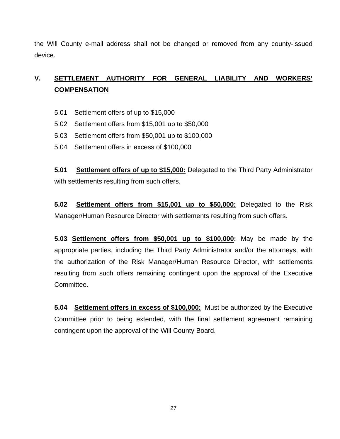the Will County e-mail address shall not be changed or removed from any county-issued device.

## **V. SETTLEMENT AUTHORITY FOR GENERAL LIABILITY AND WORKERS' COMPENSATION**

- 5.01 Settlement offers of up to \$15,000
- 5.02 Settlement offers from \$15,001 up to \$50,000
- 5.03 Settlement offers from \$50,001 up to \$100,000
- 5.04 Settlement offers in excess of \$100,000

**5.01 Settlement offers of up to \$15,000:** Delegated to the Third Party Administrator with settlements resulting from such offers.

**5.02 Settlement offers from \$15,001 up to \$50,000:** Delegated to the Risk Manager/Human Resource Director with settlements resulting from such offers.

**5.03 Settlement offers from \$50,001 up to \$100,000:** May be made by the appropriate parties, including the Third Party Administrator and/or the attorneys, with the authorization of the Risk Manager/Human Resource Director, with settlements resulting from such offers remaining contingent upon the approval of the Executive Committee.

**5.04 Settlement offers in excess of \$100,000:** Must be authorized by the Executive Committee prior to being extended, with the final settlement agreement remaining contingent upon the approval of the Will County Board.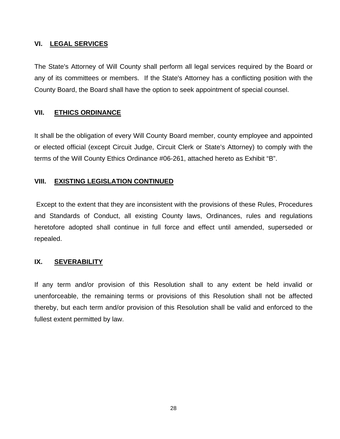## **VI. LEGAL SERVICES**

The State's Attorney of Will County shall perform all legal services required by the Board or any of its committees or members. If the State's Attorney has a conflicting position with the County Board, the Board shall have the option to seek appointment of special counsel.

## **VII. ETHICS ORDINANCE**

It shall be the obligation of every Will County Board member, county employee and appointed or elected official (except Circuit Judge, Circuit Clerk or State's Attorney) to comply with the terms of the Will County Ethics Ordinance #06-261, attached hereto as Exhibit "B".

## **VIII. EXISTING LEGISLATION CONTINUED**

Except to the extent that they are inconsistent with the provisions of these Rules, Procedures and Standards of Conduct, all existing County laws, Ordinances, rules and regulations heretofore adopted shall continue in full force and effect until amended, superseded or repealed.

## **IX. SEVERABILITY**

If any term and/or provision of this Resolution shall to any extent be held invalid or unenforceable, the remaining terms or provisions of this Resolution shall not be affected thereby, but each term and/or provision of this Resolution shall be valid and enforced to the fullest extent permitted by law.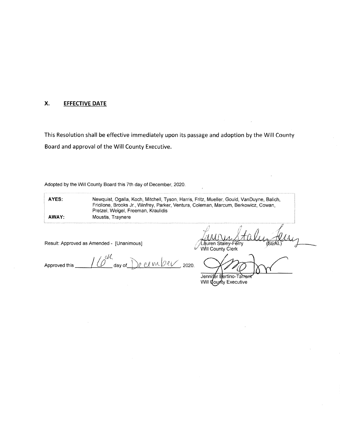#### X. **EFFECTIVE DATE**

This Resolution shall be effective immediately upon its passage and adoption by the Will County Board and approval of the Will County Executive.

Adopted by the Will County Board this 7th day of December, 2020.

| AYES: | Newquist, Ogalla, Koch, Mitchell, Tyson, Harris, Fritz, Mueller, Gould, VanDuyne, Balich,<br>Fricilone, Brooks Jr., Winfrey, Parker, Ventura, Coleman, Marcum, Berkowicz, Cowan,<br>Pretzel, Weigel, Freeman, Kraulidis |  |
|-------|-------------------------------------------------------------------------------------------------------------------------------------------------------------------------------------------------------------------------|--|
| AWAY: | Moustis, Traynere                                                                                                                                                                                                       |  |

 $\lambda$ 

Result: Approved as Amended - [Unanimous]

Lauren Staley-Ferry<br>Will County Clerk SEÁÍ í

<u>se cember</u>, 2020. Approved this day of\_

Jennifer Bertino-Tarrant Will County Executive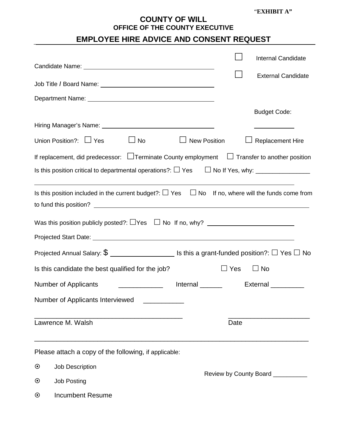## **COUNTY OF WILL OFFICE OF THE COUNTY EXECUTIVE**

## **EMPLOYEE HIRE ADVICE AND CONSENT REQUEST**

|                                                                                                                       |                                  | <b>Internal Candidate</b>                                          |
|-----------------------------------------------------------------------------------------------------------------------|----------------------------------|--------------------------------------------------------------------|
|                                                                                                                       |                                  | <b>External Candidate</b>                                          |
| Job Title / Board Name: University of Title / Board Name:                                                             |                                  |                                                                    |
|                                                                                                                       |                                  |                                                                    |
|                                                                                                                       |                                  | <b>Budget Code:</b>                                                |
| Hiring Manager's Name: <b>Managery Manager's Name:</b> Managery Managery Managery Managery Managery Managery Managery |                                  | <u> 1980 - John Barn Barn, mars an t-Amerikaansk kommunister (</u> |
| Union Position?: $\Box$ Yes $\Box$ No                                                                                 | $\Box$ New Position              | <b>Replacement Hire</b>                                            |
| If replacement, did predecessor: $\Box$ Terminate County employment $\Box$ Transfer to another position               |                                  |                                                                    |
| Is this position critical to departmental operations?: $\Box$ Yes $\Box$ No If Yes, why: $\Box$                       |                                  |                                                                    |
| Is this position included in the current budget?: $\Box$ Yes $\Box$ No If no, where will the funds come from          |                                  |                                                                    |
|                                                                                                                       |                                  |                                                                    |
|                                                                                                                       |                                  |                                                                    |
| Projected Annual Salary: $\$\_\_\_\_\_\_\_\_\_$ Is this a grant-funded position?: $\Box$ Yes $\Box$ No                |                                  |                                                                    |
| Is this candidate the best qualified for the job?                                                                     | $\Box$ Yes                       | $\Box$ No                                                          |
| Number of Applicants                                                                                                  | Internal ______                  | External __________                                                |
| Number of Applicants Interviewed                                                                                      |                                  |                                                                    |
| Lawrence M. Walsh                                                                                                     | Date                             |                                                                    |
| Please attach a copy of the following, if applicable:                                                                 |                                  |                                                                    |
| $\odot$<br>Job Description                                                                                            | Review by County Board _________ |                                                                    |
| $\odot$<br><b>Job Posting</b>                                                                                         |                                  |                                                                    |
|                                                                                                                       |                                  |                                                                    |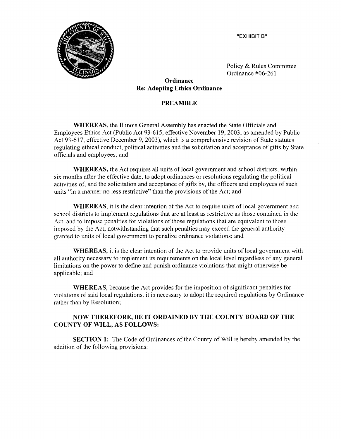



Policy & Rules Committee Ordinance #06-261

### Ordinance **Re: Adopting Ethics Ordinance**

### **PREAMBLE**

**WHEREAS**, the Illinois General Assembly has enacted the State Officials and Employees Ethics Act (Public Act 93-615, effective November 19, 2003, as amended by Public Act 93-617, effective December 9, 2003), which is a comprehensive revision of State statutes regulating ethical conduct, political activities and the solicitation and acceptance of gifts by State officials and employees; and

**WHEREAS**, the Act requires all units of local government and school districts, within six months after the effective date, to adopt ordinances or resolutions regulating the political activities of, and the solicitation and acceptance of gifts by, the officers and employees of such units "in a manner no less restrictive" than the provisions of the Act; and

WHEREAS, it is the clear intention of the Act to require units of local government and school districts to implement regulations that are at least as restrictive as those contained in the Act, and to impose penalties for violations of those regulations that are equivalent to those imposed by the Act, notwithstanding that such penalties may exceed the general authority granted to units of local government to penalize ordinance violations; and

**WHEREAS**, it is the clear intention of the Act to provide units of local government with all authority necessary to implement its requirements on the local level regardless of any general limitations on the power to define and punish ordinance violations that might otherwise be applicable; and

WHEREAS, because the Act provides for the imposition of significant penalties for violations of said local regulations, it is necessary to adopt the required regulations by Ordinance rather than by Resolution;

### NOW THEREFORE, BE IT ORDAINED BY THE COUNTY BOARD OF THE **COUNTY OF WILL, AS FOLLOWS:**

**SECTION 1:** The Code of Ordinances of the County of Will is hereby amended by the addition of the following provisions: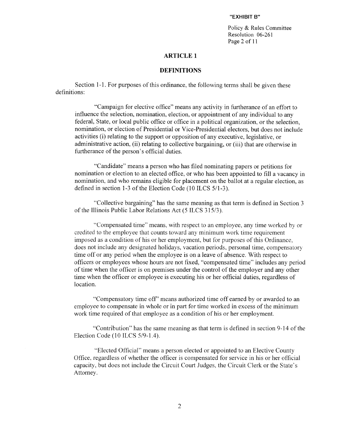Policy & Rules Committee Resolution 06-261 Page 2 of 11

#### **ARTICLE 1**

#### **DEFINITIONS**

Section 1-1. For purposes of this ordinance, the following terms shall be given these definitions:

"Campaign for elective office" means any activity in furtherance of an effort to influence the selection, nomination, election, or appointment of any individual to any federal, State, or local public office or office in a political organization, or the selection, nomination, or election of Presidential or Vice-Presidential electors, but does not include activities (i) relating to the support or opposition of any executive, legislative, or administrative action, (ii) relating to collective bargaining, or (iii) that are otherwise in furtherance of the person's official duties.

"Candidate" means a person who has filed nominating papers or petitions for nomination or election to an elected office, or who has been appointed to fill a vacancy in nomination, and who remains eligible for placement on the ballot at a regular election, as defined in section 1-3 of the Election Code (10 ILCS 5/1-3).

"Collective bargaining" has the same meaning as that term is defined in Section 3 of the Illinois Public Labor Relations Act (5 ILCS 315/3).

"Compensated time" means, with respect to an employee, any time worked by or credited to the employee that counts toward any minimum work time requirement imposed as a condition of his or her employment, but for purposes of this Ordinance, does not include any designated holidays, vacation periods, personal time, compensatory time off or any period when the employee is on a leave of absence. With respect to officers or employees whose hours are not fixed, "compensated time" includes any period of time when the officer is on premises under the control of the employer and any other time when the officer or employee is executing his or her official duties, regardless of location.

"Compensatory time off" means authorized time off earned by or awarded to an employee to compensate in whole or in part for time worked in excess of the minimum work time required of that employee as a condition of his or her employment.

"Contribution" has the same meaning as that term is defined in section 9-14 of the Election Code (10 ILCS 5/9-1.4).

"Elected Official" means a person elected or appointed to an Elective County Office, regardless of whether the officer is compensated for service in his or her official capacity, but does not include the Circuit Court Judges, the Circuit Clerk or the State's Attorney.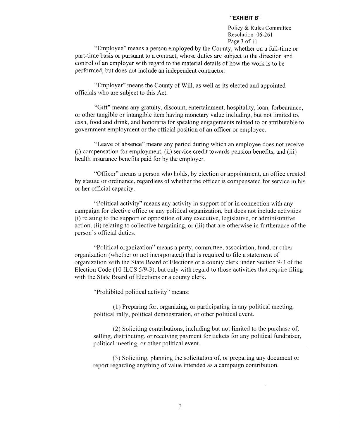Policy & Rules Committee Resolution 06-261 Page 3 of 11

"Employee" means a person employed by the County, whether on a full-time or part-time basis or pursuant to a contract, whose duties are subject to the direction and control of an employer with regard to the material details of how the work is to be performed, but does not include an independent contractor.

"Employer" means the County of Will, as well as its elected and appointed officials who are subject to this Act.

"Gift" means any gratuity, discount, entertainment, hospitality, loan, forbearance, or other tangible or intangible item having monetary value including, but not limited to, cash, food and drink, and honoraria for speaking engagements related to or attributable to government employment or the official position of an officer or employee.

"Leave of absence" means any period during which an employee does not receive (i) compensation for employment, (ii) service credit towards pension benefits, and (iii) health insurance benefits paid for by the employer.

"Officer" means a person who holds, by election or appointment, an office created by statute or ordinance, regardless of whether the officer is compensated for service in his or her official capacity.

"Political activity" means any activity in support of or in connection with any campaign for elective office or any political organization, but does not include activities (i) relating to the support or opposition of any executive, legislative, or administrative action, (ii) relating to collective bargaining, or (iii) that are otherwise in furtherance of the person's official duties.

"Political organization" means a party, committee, association, fund, or other organization (whether or not incorporated) that is required to file a statement of organization with the State Board of Elections or a county clerk under Section 9-3 of the Election Code (10 ILCS 5/9-3), but only with regard to those activities that require filing with the State Board of Elections or a county clerk.

"Prohibited political activity" means:

(1) Preparing for, organizing, or participating in any political meeting, political rally, political demonstration, or other political event.

(2) Soliciting contributions, including but not limited to the purchase of, selling, distributing, or receiving payment for tickets for any political fundraiser, political meeting, or other political event.

(3) Soliciting, planning the solicitation of, or preparing any document or report regarding anything of value intended as a campaign contribution.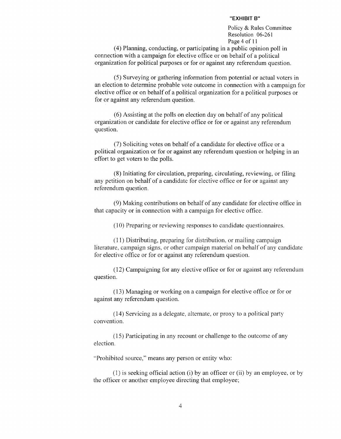Policy & Rules Committee Resolution 06-261 Page 4 of 11

(4) Planning, conducting, or participating in a public opinion poll in connection with a campaign for elective office or on behalf of a political organization for political purposes or for or against any referendum question.

(5) Surveying or gathering information from potential or actual voters in an election to determine probable vote outcome in connection with a campaign for elective office or on behalf of a political organization for a political purposes or for or against any referendum question.

(6) Assisting at the polls on election day on behalf of any political organization or candidate for elective office or for or against any referendum question.

(7) Soliciting votes on behalf of a candidate for elective office or a political organization or for or against any referendum question or helping in an effort to get voters to the polls.

(8) Initiating for circulation, preparing, circulating, reviewing, or filing any petition on behalf of a candidate for elective office or for or against any referendum question.

(9) Making contributions on behalf of any candidate for elective office in that capacity or in connection with a campaign for elective office.

(10) Preparing or reviewing responses to candidate questionnaires.

(11) Distributing, preparing for distribution, or mailing campaign literature, campaign signs, or other campaign material on behalf of any candidate for elective office or for or against any referendum question.

(12) Campaigning for any elective office or for or against any referendum question.

(13) Managing or working on a campaign for elective office or for or against any referendum question.

(14) Servicing as a delegate, alternate, or proxy to a political party convention.

(15) Participating in any recount or challenge to the outcome of any election.

"Prohibited source," means any person or entity who:

(1) is seeking official action (i) by an officer or (ii) by an employee, or by the officer or another employee directing that employee;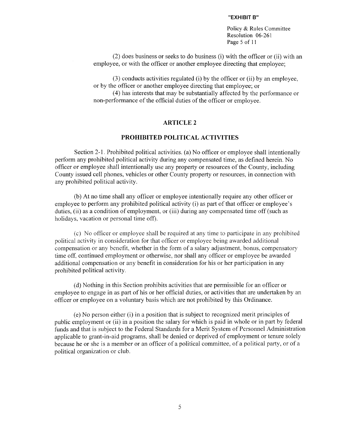Policy & Rules Committee Resolution 06-261 Page 5 of 11

(2) does business or seeks to do business (i) with the officer or (ii) with an employee, or with the officer or another employee directing that employee;

(3) conducts activities regulated (i) by the officer or (ii) by an employee, or by the officer or another employee directing that employee; or

(4) has interests that may be substantially affected by the performance or non-performance of the official duties of the officer or employee.

#### **ARTICLE 2**

#### PROHIBITED POLITICAL ACTIVITIES

Section 2-1. Prohibited political activities. (a) No officer or employee shall intentionally perform any prohibited political activity during any compensated time, as defined herein. No officer or employee shall intentionally use any property or resources of the County, including County issued cell phones, vehicles or other County property or resources, in connection with any prohibited political activity.

(b) At no time shall any officer or employee intentionally require any other officer or employee to perform any prohibited political activity (i) as part of that officer or employee's duties, (ii) as a condition of employment, or (iii) during any compensated time off (such as holidays, vacation or personal time off).

(c) No officer or employee shall be required at any time to participate in any prohibited political activity in consideration for that officer or employee being awarded additional compensation or any benefit, whether in the form of a salary adjustment, bonus, compensatory time off, continued employment or otherwise, nor shall any officer or employee be awarded additional compensation or any benefit in consideration for his or her participation in any prohibited political activity.

(d) Nothing in this Section prohibits activities that are permissible for an officer or employee to engage in as part of his or her official duties, or activities that are undertaken by an officer or employee on a voluntary basis which are not prohibited by this Ordinance.

(e) No person either (i) in a position that is subject to recognized merit principles of public employment or (ii) in a position the salary for which is paid in whole or in part by federal funds and that is subject to the Federal Standards for a Merit System of Personnel Administration applicable to grant-in-aid programs, shall be denied or deprived of employment or tenure solely because he or she is a member or an officer of a political committee, of a political party, or of a political organization or club.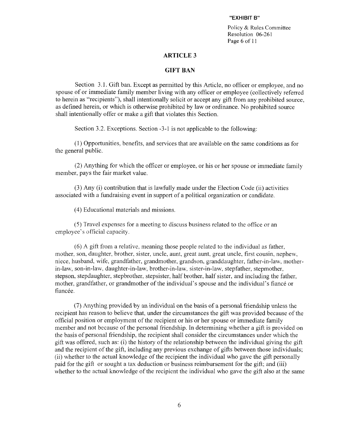Policy & Rules Committee Resolution 06-261 Page 6 of 11

#### **ARTICLE 3**

#### **GIFT BAN**

Section 3.1. Gift ban. Except as permitted by this Article, no officer or employee, and no spouse of or immediate family member living with any officer or employee (collectively referred to herein as "recipients"), shall intentionally solicit or accept any gift from any prohibited source. as defined herein, or which is otherwise prohibited by law or ordinance. No prohibited source shall intentionally offer or make a gift that violates this Section.

Section 3.2. Exceptions. Section -3-1 is not applicable to the following:

(1) Opportunities, benefits, and services that are available on the same conditions as for the general public.

(2) Anything for which the officer or employee, or his or her spouse or immediate family member, pays the fair market value.

(3) Any (i) contribution that is lawfully made under the Election Code (ii) activities associated with a fundraising event in support of a political organization or candidate.

(4) Educational materials and missions.

(5) Travel expenses for a meeting to discuss business related to the office or an employee's official capacity.

(6) A gift from a relative, meaning those people related to the individual as father, mother, son, daughter, brother, sister, uncle, aunt, great aunt, great uncle, first cousin, nephew, niece, husband, wife, grandfather, grandmother, grandson, granddaughter, father-in-law, motherin-law, son-in-law, daughter-in-law, brother-in-law, sister-in-law, stepfather, stepmother, stepson, stepdaughter, stepbrother, stepsister, half brother, half sister, and including the father. mother, grandfather, or grandmother of the individual's spouse and the individual's fiance or fiancée.

(7) Anything provided by an individual on the basis of a personal friendship unless the recipient has reason to believe that, under the circumstances the gift was provided because of the official position or employment of the recipient or his or her spouse or immediate family member and not because of the personal friendship. In determining whether a gift is provided on the basis of personal friendship, the recipient shall consider the circumstances under which the gift was offered, such as: (i) the history of the relationship between the individual giving the gift and the recipient of the gift, including any previous exchange of gifts between those individuals; (ii) whether to the actual knowledge of the recipient the individual who gave the gift personally paid for the gift or sought a tax deduction or business reimbursement for the gift; and (iii) whether to the actual knowledge of the recipient the individual who gave the gift also at the same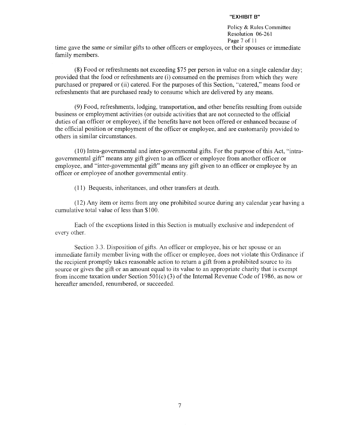Policy & Rules Committee Resolution 06-261 Page 7 of 11

time gave the same or similar gifts to other officers or employees, or their spouses or immediate family members.

(8) Food or refreshments not exceeding \$75 per person in value on a single calendar day; provided that the food or refreshments are (i) consumed on the premises from which they were purchased or prepared or (ii) catered. For the purposes of this Section, "catered," means food or refreshments that are purchased ready to consume which are delivered by any means.

(9) Food, refreshments, lodging, transportation, and other benefits resulting from outside business or employment activities (or outside activities that are not connected to the official duties of an officer or employee), if the benefits have not been offered or enhanced because of the official position or employment of the officer or employee, and are customarily provided to others in similar circumstances.

(10) Intra-governmental and inter-governmental gifts. For the purpose of this Act, "intragovernmental gift" means any gift given to an officer or employee from another officer or employee, and "inter-governmental gift" means any gift given to an officer or employee by an officer or employee of another governmental entity.

(11) Bequests, inheritances, and other transfers at death.

(12) Any item or items from any one prohibited source during any calendar year having a cumulative total value of less than \$100.

Each of the exceptions listed in this Section is mutually exclusive and independent of every other.

Section 3.3. Disposition of gifts. An officer or employee, his or her spouse or an immediate family member living with the officer or employee, does not violate this Ordinance if the recipient promptly takes reasonable action to return a gift from a prohibited source to its source or gives the gift or an amount equal to its value to an appropriate charity that is exempt from income taxation under Section 501(c) (3) of the Internal Revenue Code of 1986, as now or hereafter amended, renumbered, or succeeded.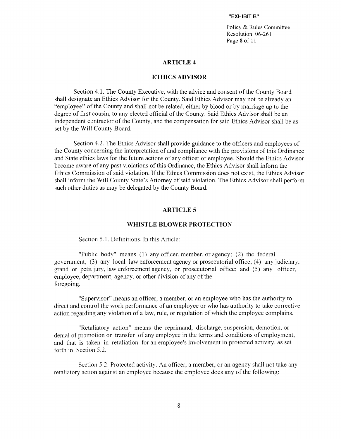Policy & Rules Committee Resolution 06-261 Page 8 of 11

#### **ARTICLE 4**

#### **ETHICS ADVISOR**

Section 4.1. The County Executive, with the advice and consent of the County Board shall designate an Ethics Advisor for the County. Said Ethics Advisor may not be already an "employee" of the County and shall not be related, either by blood or by marriage up to the degree of first cousin, to any elected official of the County. Said Ethics Advisor shall be an independent contractor of the County, and the compensation for said Ethics Advisor shall be as set by the Will County Board.

Section 4.2. The Ethics Advisor shall provide guidance to the officers and employees of the County concerning the interpretation of and compliance with the provisions of this Ordinance and State ethics laws for the future actions of any officer or employee. Should the Ethics Advisor become aware of any past violations of this Ordinance, the Ethics Advisor shall inform the Ethics Commission of said violation. If the Ethics Commission does not exist, the Ethics Advisor shall inform the Will County State's Attorney of said violation. The Ethics Advisor shall perform such other duties as may be delegated by the County Board.

#### **ARTICLE 5**

#### **WHISTLE BLOWER PROTECTION**

Section 5.1. Definitions. In this Article:

"Public body" means (1) any officer, member, or agency; (2) the federal government; (3) any local law enforcement agency or prosecutorial office: (4) any judiciary, grand or petit jury, law enforcement agency, or prosecutorial office; and (5) any officer, employee, department, agency, or other division of any of the foregoing.

"Supervisor" means an officer, a member, or an employee who has the authority to direct and control the work performance of an employee or who has authority to take corrective action regarding any violation of a law, rule, or regulation of which the employee complains.

"Retaliatory action" means the reprimand, discharge, suspension, demotion, or denial of promotion or transfer of any employee in the terms and conditions of employment, and that is taken in retaliation for an employee's involvement in protected activity, as set forth in Section 5.2.

Section 5.2. Protected activity. An officer, a member, or an agency shall not take any retaliatory action against an employee because the employee does any of the following: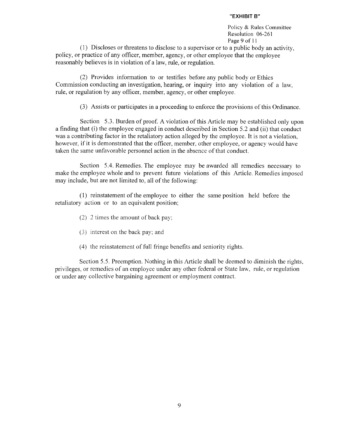Policy & Rules Committee Resolution 06-261 Page 9 of 11

(1) Discloses or threatens to disclose to a supervisor or to a public body an activity, policy, or practice of any officer, member, agency, or other employee that the employee reasonably believes is in violation of a law, rule, or regulation.

(2) Provides information to or testifies before any public body or Ethics Commission conducting an investigation, hearing, or inquiry into any violation of a law, rule, or regulation by any officer, member, agency, or other employee.

(3) Assists or participates in a proceeding to enforce the provisions of this Ordinance.

Section 5.3. Burden of proof. A violation of this Article may be established only upon a finding that (i) the employee engaged in conduct described in Section 5.2 and (ii) that conduct was a contributing factor in the retaliatory action alleged by the employee. It is not a violation, however, if it is demonstrated that the officer, member, other employee, or agency would have taken the same unfavorable personnel action in the absence of that conduct.

Section 5.4. Remedies. The employee may be awarded all remedies necessary to make the employee whole and to prevent future violations of this Article. Remedies imposed may include, but are not limited to, all of the following:

(1) reinstatement of the employee to either the same position held before the retaliatory action or to an equivalent position;

(2) 2 times the amount of back pay;

- (3) interest on the back pay; and
- (4) the reinstatement of full fringe benefits and seniority rights.

Section 5.5. Preemption. Nothing in this Article shall be deemed to diminish the rights, privileges, or remedies of an employee under any other federal or State law, rule, or regulation or under any collective bargaining agreement or employment contract.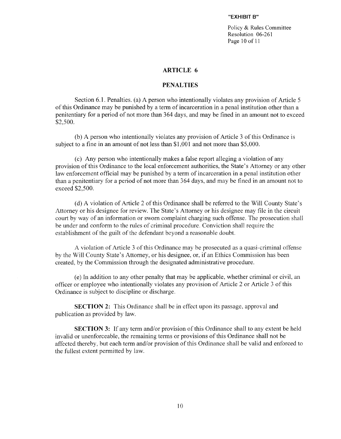Policy & Rules Committee Resolution 06-261 Page 10 of 11

#### **ARTICLE 6**

#### **PENALTIES**

Section 6.1. Penalties. (a) A person who intentionally violates any provision of Article 5 of this Ordinance may be punished by a term of incarceration in a penal institution other than a penitentiary for a period of not more than 364 days, and may be fined in an amount not to exceed \$2.500.

(b) A person who intentionally violates any provision of Article 3 of this Ordinance is subject to a fine in an amount of not less than \$1,001 and not more than \$5,000.

(c) Any person who intentionally makes a false report alleging a violation of any provision of this Ordinance to the local enforcement authorities, the State's Attorney or any other law enforcement official may be punished by a term of incarceration in a penal institution other than a penitentiary for a period of not more than 364 days, and may be fined in an amount not to exceed \$2,500.

(d) A violation of Article 2 of this Ordinance shall be referred to the Will County State's Attorney or his designee for review. The State's Attorney or his designee may file in the circuit court by way of an information or sworn complaint charging such offense. The prosecution shall be under and conform to the rules of criminal procedure. Conviction shall require the establishment of the guilt of the defendant beyond a reasonable doubt.

A violation of Article 3 of this Ordinance may be prosecuted as a quasi-criminal offense by the Will County State's Attorney, or his designee, or, if an Ethics Commission has been created, by the Commission through the designated administrative procedure.

(e) In addition to any other penalty that may be applicable, whether criminal or civil, an officer or employee who intentionally violates any provision of Article 2 or Article 3 of this Ordinance is subject to discipline or discharge.

**SECTION 2:** This Ordinance shall be in effect upon its passage, approval and publication as provided by law.

**SECTION 3:** If any term and/or provision of this Ordinance shall to any extent be held invalid or unenforceable, the remaining terms or provisions of this Ordinance shall not be affected thereby, but each term and/or provision of this Ordinance shall be valid and enforced to the fullest extent permitted by law.